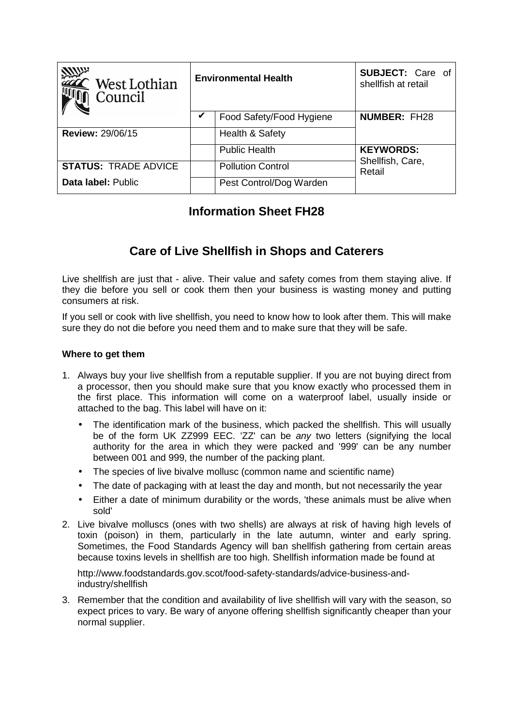| <b>VIIII</b> n.<br>$\mathsf{\subseteq}\mathsf{West}$ Lothian<br>Council | <b>Environmental Health</b> |                          | <b>SUBJECT:</b> Care of<br>shellfish at retail |
|-------------------------------------------------------------------------|-----------------------------|--------------------------|------------------------------------------------|
|                                                                         |                             | Food Safety/Food Hygiene | <b>NUMBER: FH28</b>                            |
| <b>Review: 29/06/15</b>                                                 |                             | Health & Safety          |                                                |
|                                                                         |                             | <b>Public Health</b>     | <b>KEYWORDS:</b>                               |
| <b>STATUS: TRADE ADVICE</b>                                             |                             | <b>Pollution Control</b> | Shellfish, Care,<br>Retail                     |
| Data label: Public                                                      |                             | Pest Control/Dog Warden  |                                                |

# **Information Sheet FH28**

# **Care of Live Shellfish in Shops and Caterers**

Live shellfish are just that - alive. Their value and safety comes from them staying alive. If they die before you sell or cook them then your business is wasting money and putting consumers at risk.

If you sell or cook with live shellfish, you need to know how to look after them. This will make sure they do not die before you need them and to make sure that they will be safe.

### **Where to get them**

- 1. Always buy your live shellfish from a reputable supplier. If you are not buying direct from a processor, then you should make sure that you know exactly who processed them in the first place. This information will come on a waterproof label, usually inside or attached to the bag. This label will have on it:
	- The identification mark of the business, which packed the shellfish. This will usually be of the form UK ZZ999 EEC. 'ZZ' can be any two letters (signifying the local authority for the area in which they were packed and '999' can be any number between 001 and 999, the number of the packing plant.
	- The species of live bivalve mollusc (common name and scientific name)
	- The date of packaging with at least the day and month, but not necessarily the year
	- Either a date of minimum durability or the words, 'these animals must be alive when sold'
- 2. Live bivalve molluscs (ones with two shells) are always at risk of having high levels of toxin (poison) in them, particularly in the late autumn, winter and early spring. Sometimes, the Food Standards Agency will ban shellfish gathering from certain areas because toxins levels in shellfish are too high. Shellfish information made be found at

http://www.foodstandards.gov.scot/food-safety-standards/advice-business-andindustry/shellfish

3. Remember that the condition and availability of live shellfish will vary with the season, so expect prices to vary. Be wary of anyone offering shellfish significantly cheaper than your normal supplier.